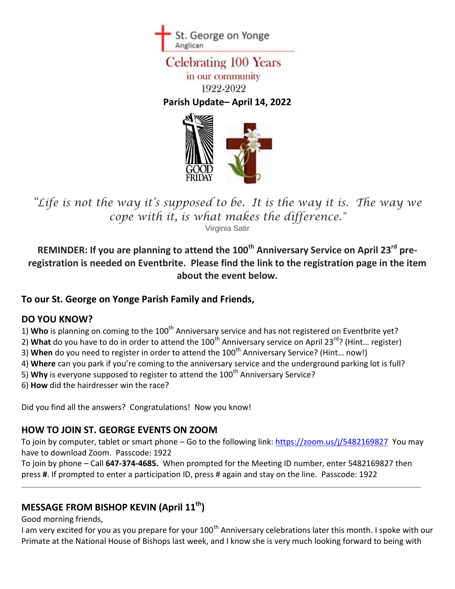

# **Celebrating 100 Years** in our community 1922-2022

**Parish Update– April 14, 2022**



*"Life is not the way it's supposed to be. It is the way it is. The way we cope with it, is what makes the difference."*

Virginia Satir

**REMINDER: If you are planning to attend the 100th Anniversary Service on April 23rd preregistration is needed on Eventbrite. Please find the link to the registration page in the item about the event below.** 

#### **To our St. George on Yonge Parish Family and Friends,**

#### **DO YOU KNOW?**

- 1) Who is planning on coming to the 100<sup>th</sup> Anniversary service and has not registered on Eventbrite yet?
- 2) What do you have to do in order to attend the 100<sup>th</sup> Anniversary service on April 23<sup>rd</sup>? (Hint... register)
- 3) When do you need to register in order to attend the 100<sup>th</sup> Anniversary Service? (Hint... now!)
- 4) **Where** can you park if you're coming to the anniversary service and the underground parking lot is full?
- 5) Why is everyone supposed to register to attend the 100<sup>th</sup> Anniversary Service?
- 6) **How** did the hairdresser win the race?

Did you find all the answers? Congratulations! Now you know!

#### **HOW TO JOIN ST. GEORGE EVENTS ON ZOOM**

To join by computer, tablet or smart phone – Go to the following link: [https://zoom.us/j/5482169827](https://zoom.us/j/5482169827?pwd=VWJyNU9pWnBJbWhuQSthSThHR2dlQT09) You may have to download Zoom. Passcode: 1922

To join by phone – Call **647-374-4685.** When prompted for the Meeting ID number, enter 5482169827 then press **#**. If prompted to enter a participation ID, press # again and stay on the line. Passcode: 1922

# **MESSAGE FROM BISHOP KEVIN (April 11th)**

Good morning friends,

I am very excited for you as you prepare for your 100<sup>th</sup> Anniversary celebrations later this month. I spoke with our Primate at the National House of Bishops last week, and I know she is very much looking forward to being with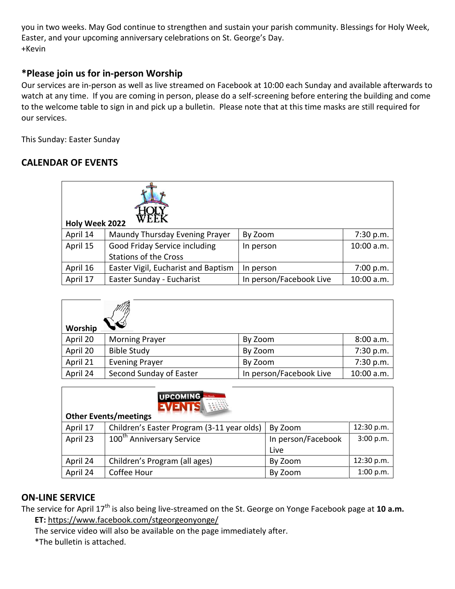you in two weeks. May God continue to strengthen and sustain your parish community. Blessings for Holy Week, Easter, and your upcoming anniversary celebrations on St. George's Day. +Kevin

#### **\*Please join us for in-person Worship**

Our services are in-person as well as live streamed on Facebook at 10:00 each Sunday and available afterwards to watch at any time. If you are coming in person, please do a self-screening before entering the building and come to the welcome table to sign in and pick up a bulletin. Please note that at this time masks are still required for our services.

This Sunday: Easter Sunday

#### **CALENDAR OF EVENTS**

| WEEK<br>Holy Week 2022 |                                     |                         |            |
|------------------------|-------------------------------------|-------------------------|------------|
| April 14               | Maundy Thursday Evening Prayer      | By Zoom                 | 7:30 p.m.  |
| April 15               | Good Friday Service including       | In person               | 10:00 a.m. |
|                        | <b>Stations of the Cross</b>        |                         |            |
| April 16               | Easter Vigil, Eucharist and Baptism | In person               | 7:00 p.m.  |
| April 17               | Easter Sunday - Eucharist           | In person/Facebook Live | 10:00 a.m. |

| Worship  |                         |                         |            |
|----------|-------------------------|-------------------------|------------|
| April 20 | <b>Morning Prayer</b>   | By Zoom                 | 8:00 a.m.  |
| April 20 | <b>Bible Study</b>      | By Zoom                 | 7:30 p.m.  |
| April 21 | <b>Evening Prayer</b>   | By Zoom                 | 7:30 p.m.  |
| April 24 | Second Sunday of Easter | In person/Facebook Live | 10:00 a.m. |

| UPCOMING<br>$\begin{array}{cccccccccc} 5 & 6 & 1 & 8 & 5 & 0 & 0 \\ 12 & 13 & 14 & 15 & 0 & 0 \\ 19 & 10 & 11 & 12 & 0 & 0 \\ 19 & 10 & 11 & 13 & 0 & 0 \\ 19 & 11 & 13 & 0 & 0 & 0 \\ \end{array}$<br><b>EVENTS</b><br><b>Other Events/meetings</b> |                                            |                    |            |  |
|------------------------------------------------------------------------------------------------------------------------------------------------------------------------------------------------------------------------------------------------------|--------------------------------------------|--------------------|------------|--|
| April 17                                                                                                                                                                                                                                             | Children's Easter Program (3-11 year olds) | By Zoom            | 12:30 p.m. |  |
| April 23                                                                                                                                                                                                                                             | 100 <sup>th</sup> Anniversary Service      | In person/Facebook | 3:00 p.m.  |  |
|                                                                                                                                                                                                                                                      |                                            | Live               |            |  |
| April 24                                                                                                                                                                                                                                             | Children's Program (all ages)              | By Zoom            | 12:30 p.m. |  |
| April 24                                                                                                                                                                                                                                             | Coffee Hour                                | By Zoom            | 1:00 p.m.  |  |

#### **ON-LINE SERVICE**

The service for April 17<sup>th</sup> is also being live-streamed on the St. George on Yonge Facebook page at 10 a.m. **ET:** <https://www.facebook.com/stgeorgeonyonge/>

The service video will also be available on the page immediately after.

\*The bulletin is attached.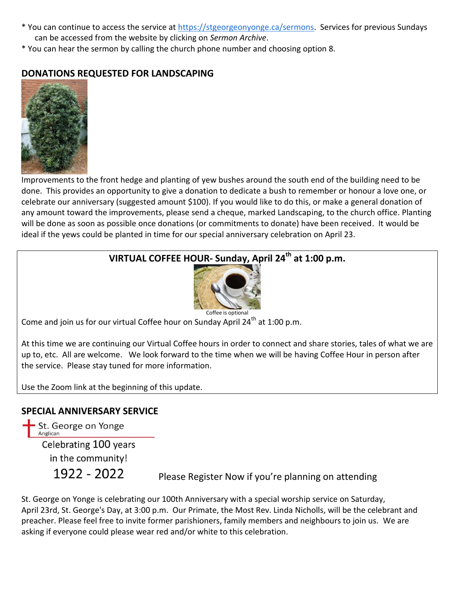- \* You can continue to access the service at [https://stgeorgeonyonge.ca/sermons.](https://stgeorgeonyonge.ca/sermons) Services for previous Sundays can be accessed from the website by clicking on *Sermon Archive*.
- \* You can hear the sermon by calling the church phone number and choosing option 8.

# **DONATIONS REQUESTED FOR LANDSCAPING**



Improvements to the front hedge and planting of yew bushes around the south end of the building need to be done. This provides an opportunity to give a donation to dedicate a bush to remember or honour a love one, or celebrate our anniversary (suggested amount \$100). If you would like to do this, or make a general donation of any amount toward the improvements, please send a cheque, marked Landscaping, to the church office. Planting will be done as soon as possible once donations (or commitments to donate) have been received. It would be ideal if the yews could be planted in time for our special anniversary celebration on April 23.

# **VIRTUAL COFFEE HOUR- Sunday, April 24th at 1:00 p.m.**



Come and join us for our virtual Coffee hour on Sunday April 24<sup>th</sup> at 1:00 p.m.

At this time we are continuing our Virtual Coffee hours in order to connect and share stories, tales of what we are up to, etc. All are welcome. We look forward to the time when we will be having Coffee Hour in person after the service. Please stay tuned for more information.

Use the Zoom link at the beginning of this update.

#### **SPECIAL ANNIVERSARY SERVICE**

St. George on Yonge Anglican Celebrating 100 years in the community! 1922 - 2022

Please Register Now if you're planning on attending

St. George on Yonge is celebrating our 100th Anniversary with a special worship service on Saturday, April 23rd, St. George's Day, at 3:00 p.m. Our Primate, the Most Rev. Linda Nicholls, will be the celebrant and preacher. Please feel free to invite former parishioners, family members and neighbours to join us. We are asking if everyone could please wear red and/or white to this celebration.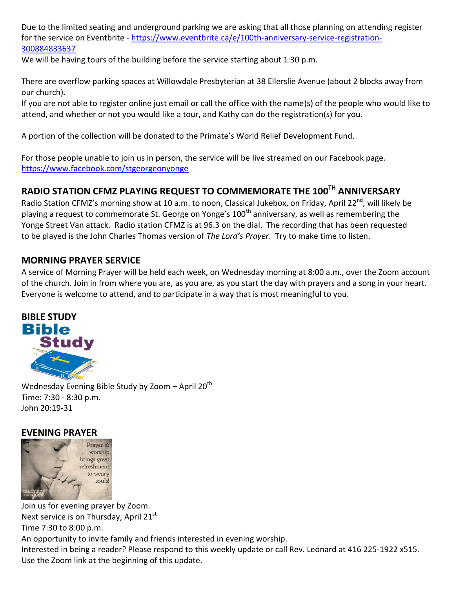Due to the limited seating and underground parking we are asking that all those planning on attending register for the service on Eventbrite - [https://www.eventbrite.ca/e/100th-anniversary-service-registration-](https://www.eventbrite.ca/e/100th-anniversary-service-registration-300884833637)[300884833637](https://www.eventbrite.ca/e/100th-anniversary-service-registration-300884833637) 

We will be having tours of the building before the service starting about 1:30 p.m.

There are overflow parking spaces at Willowdale Presbyterian at 38 Ellerslie Avenue (about 2 blocks away from our church).

If you are not able to register online just email or call the office with the name(s) of the people who would like to attend, and whether or not you would like a tour, and Kathy can do the registration(s) for you.

A portion of the collection will be donated to the Primate's World Relief Development Fund.

For those people unable to join us in person, the service will be live streamed on our Facebook page. <https://www.facebook.com/stgeorgeonyonge>

# **RADIO STATION CFMZ PLAYING REQUEST TO COMMEMORATE THE 100TH ANNIVERSARY**

Radio Station CFMZ's morning show at 10 a.m. to noon, Classical Jukebox, on Friday, April 22<sup>nd</sup>, will likely be playing a request to commemorate St. George on Yonge's 100<sup>th</sup> anniversary, as well as remembering the Yonge Street Van attack. Radio station CFMZ is at 96.3 on the dial. The recording that has been requested to be played is the John Charles Thomas version of *The Lord's Prayer*. Try to make time to listen.

#### **MORNING PRAYER SERVICE**

A service of Morning Prayer will be held each week, on Wednesday morning at 8:00 a.m., over the Zoom account of the church. Join in from where you are, as you are, as you start the day with prayers and a song in your heart. Everyone is welcome to attend, and to participate in a way that is most meaningful to you.



Wednesday Evening Bible Study by Zoom  $-$  April 20<sup>th</sup> Time: 7:30 - 8:30 p.m. John 20:19-31

#### **EVENING PRAYER**



Join us for evening prayer by Zoom. Next service is on Thursday, April 21<sup>st</sup> Time 7:30 to 8:00 p.m. An opportunity to invite family and friends interested in evening worship. Interested in being a reader? Please respond to this weekly update or call Rev. Leonard at 416 225-1922 x515. Use the Zoom link at the beginning of this update.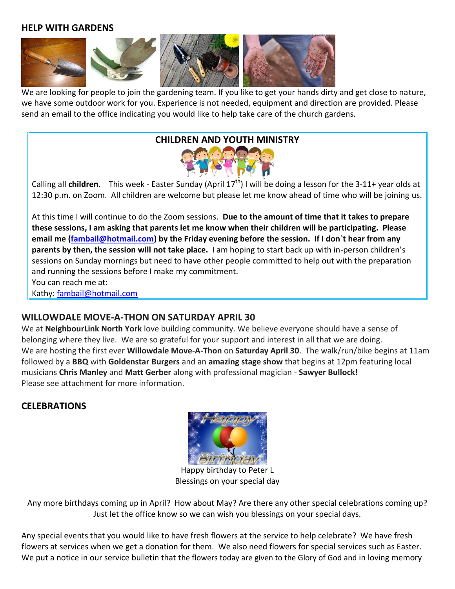#### **HELP WITH GARDENS**



We are looking for people to join the gardening team. If you like to get your hands dirty and get close to nature, we have some outdoor work for you. Experience is not needed, equipment and direction are provided. Please send an email to the office indicating you would like to help take care of the church gardens.

# **CHILDREN AND YOUTH MINISTRY**



Calling all **children**. This week - Easter Sunday (April 17<sup>th</sup>) I will be doing a lesson for the 3-11+ year olds at 12:30 p.m. on Zoom. All children are welcome but please let me know ahead of time who will be joining us.

At this time I will continue to do the Zoom sessions. **Due to the amount of time that it takes to prepare these sessions, I am asking that parents let me know when their children will be participating. Please email me [\(fambail@hotmail.com\)](mailto:fambail@hotmail.com) by the Friday evening before the session. If I don`t hear from any parents by then, the session will not take place.** I am hoping to start back up with in-person children's sessions on Sunday mornings but need to have other people committed to help out with the preparation and running the sessions before I make my commitment. You can reach me at:

Kathy: [fambail@hotmail.com](mailto:fambail@hotmail.com)

#### **WILLOWDALE MOVE-A-THON ON SATURDAY APRIL 30**

We at **NeighbourLink North York** love building community. We believe everyone should have a sense of belonging where they live. We are so grateful for your support and interest in all that we are doing. We are hosting the first ever **Willowdale Move-A-Thon** on **Saturday April 30**. The walk/run/bike begins at 11am followed by a **BBQ** with **Goldenstar Burgers** and an **amazing stage show** that begins at 12pm featuring local musicians **Chris Manley** and **Matt Gerber** along with professional magician - **Sawyer Bullock**! Please see attachment for more information.

#### **CELEBRATIONS**



 Happy birthday to Peter L Blessings on your special day

Any more birthdays coming up in April? How about May? Are there any other special celebrations coming up? Just let the office know so we can wish you blessings on your special days.

Any special events that you would like to have fresh flowers at the service to help celebrate? We have fresh flowers at services when we get a donation for them. We also need flowers for special services such as Easter. We put a notice in our service bulletin that the flowers today are given to the Glory of God and in loving memory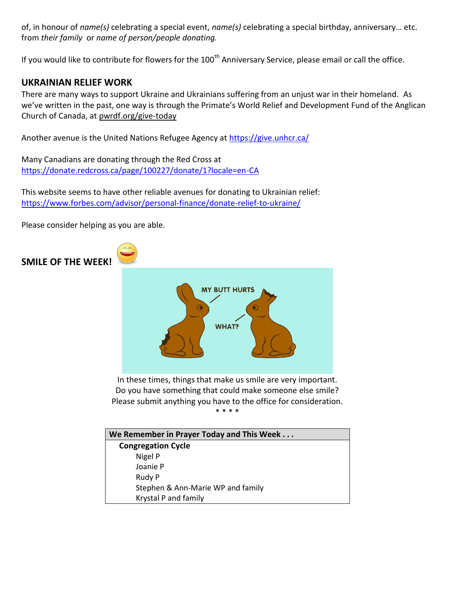of, in honour of *name(s)* celebrating a special event, *name(s)* celebrating a special birthday, anniversary… etc. from *their family* or *name of person/people donating.*

If you would like to contribute for flowers for the 100<sup>th</sup> Anniversary Service, please email or call the office.

#### **UKRAINIAN RELIEF WORK**

There are many ways to support Ukraine and Ukrainians suffering from an unjust war in their homeland. As we've written in the past, one way is through the Primate's World Relief and Development Fund of the Anglican Church of Canada, at [pwrdf.org/give-today](https://pwrdf.org/pwrdf-supports-bc-floods-with-10000-grant/)

Another avenue is the United Nations Refugee Agency at<https://give.unhcr.ca/>

Many Canadians are donating through the Red Cross at <https://donate.redcross.ca/page/100227/donate/1?locale=en-CA>

This website seems to have other reliable avenues for donating to Ukrainian relief: <https://www.forbes.com/advisor/personal-finance/donate-relief-to-ukraine/>

Please consider helping as you are able.

#### **SMILE OF THE WEEK!**



In these times, things that make us smile are very important. Do you have something that could make someone else smile? Please submit anything you have to the office for consideration. \* \* \* \*

| We Remember in Prayer Today and This Week |  |  |
|-------------------------------------------|--|--|
| <b>Congregation Cycle</b>                 |  |  |
| Nigel P                                   |  |  |
| Joanie P                                  |  |  |
| Rudy P                                    |  |  |
| Stephen & Ann-Marie WP and family         |  |  |
| Krystal P and family                      |  |  |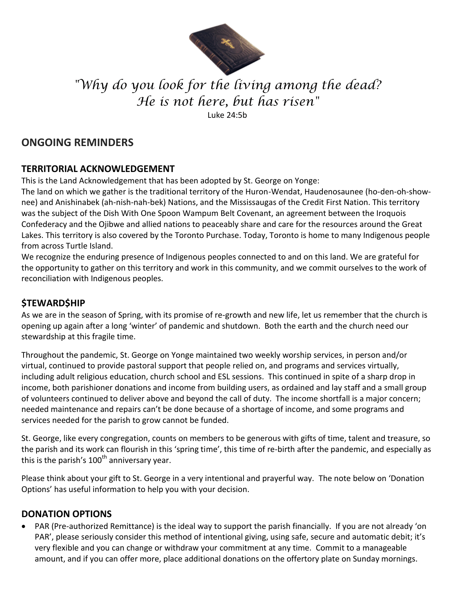

# *"Why do you look for the living among the dead? He is not here, but has risen"*

Luke 24:5b

# **ONGOING REMINDERS**

### **TERRITORIAL ACKNOWLEDGEMENT**

This is the Land Acknowledgement that has been adopted by St. George on Yonge:

The land on which we gather is the traditional territory of the Huron-Wendat, Haudenosaunee (ho-den-oh-shownee) and Anishinabek (ah-nish-nah-bek) Nations, and the Mississaugas of the Credit First Nation. This territory was the subject of the Dish With One Spoon Wampum Belt Covenant, an agreement between the Iroquois Confederacy and the Ojibwe and allied nations to peaceably share and care for the resources around the Great Lakes. This territory is also covered by the Toronto Purchase. Today, Toronto is home to many Indigenous people from across Turtle Island.

We recognize the enduring presence of Indigenous peoples connected to and on this land. We are grateful for the opportunity to gather on this territory and work in this community, and we commit ourselves to the work of reconciliation with Indigenous peoples.

# **\$TEWARD\$HIP**

As we are in the season of Spring, with its promise of re-growth and new life, let us remember that the church is opening up again after a long 'winter' of pandemic and shutdown. Both the earth and the church need our stewardship at this fragile time.

Throughout the pandemic, St. George on Yonge maintained two weekly worship services, in person and/or virtual, continued to provide pastoral support that people relied on, and programs and services virtually, including adult religious education, church school and ESL sessions. This continued in spite of a sharp drop in income, both parishioner donations and income from building users, as ordained and lay staff and a small group of volunteers continued to deliver above and beyond the call of duty. The income shortfall is a major concern; needed maintenance and repairs can't be done because of a shortage of income, and some programs and services needed for the parish to grow cannot be funded.

St. George, like every congregation, counts on members to be generous with gifts of time, talent and treasure, so the parish and its work can flourish in this 'spring time', this time of re-birth after the pandemic, and especially as this is the parish's  $100<sup>th</sup>$  anniversary year.

Please think about your gift to St. George in a very intentional and prayerful way. The note below on 'Donation Options' has useful information to help you with your decision.

#### **DONATION OPTIONS**

 PAR (Pre-authorized Remittance) is the ideal way to support the parish financially. If you are not already 'on PAR', please seriously consider this method of intentional giving, using safe, secure and automatic debit; it's very flexible and you can change or withdraw your commitment at any time. Commit to a manageable amount, and if you can offer more, place additional donations on the offertory plate on Sunday mornings.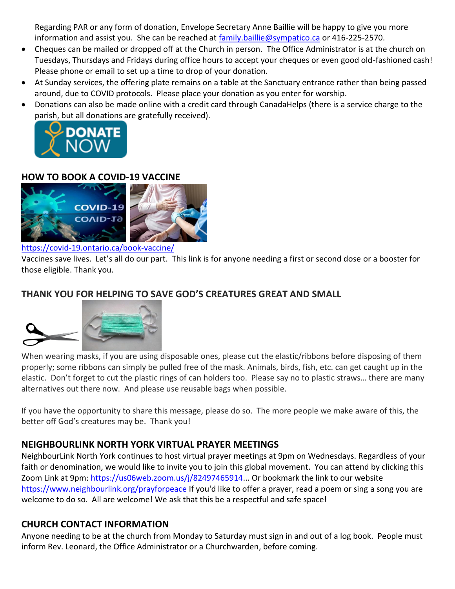Regarding PAR or any form of donation, Envelope Secretary Anne Baillie will be happy to give you more information and assist you. She can be reached at [family.baillie@sympatico.ca](mailto:family.baillie@sympatico.ca) or 416-225-2570.

- Cheques can be mailed or dropped off at the Church in person. The Office Administrator is at the church on Tuesdays, Thursdays and Fridays during office hours to accept your cheques or even good old-fashioned cash! Please phone or email to set up a time to drop of your donation.
- At Sunday services, the offering plate remains on a table at the Sanctuary entrance rather than being passed around, due to COVID protocols. Please place your donation as you enter for worship.
- Donations can also be made online with a credit card through CanadaHelps (there is a service charge to the [parish, but all donations a](https://www.canadahelps.org/CharityProfilePage.aspx?CharityID=d28998)re gratefully received).



#### **HOW TO BOOK A COVID-19 VACCINE**



#### <https://covid-19.ontario.ca/book-vaccine/>

Vaccines save lives. Let's all do our part. This link is for anyone needing a first or second dose or a booster for those eligible. Thank you.

# **THANK YOU FOR HELPING TO SAVE GOD'S CREATURES GREAT AND SMALL**



When wearing masks, if you are using disposable ones, please cut the elastic/ribbons before disposing of them properly; some ribbons can simply be pulled free of the mask. Animals, birds, fish, etc. can get caught up in the elastic. Don't forget to cut the plastic rings of can holders too. Please say no to plastic straws… there are many alternatives out there now. And please use reusable bags when possible.

If you have the opportunity to share this message, please do so. The more people we make aware of this, the better off God's creatures may be. Thank you!

#### **NEIGHBOURLINK NORTH YORK VIRTUAL PRAYER MEETINGS**

NeighbourLink North York continues to host virtual prayer meetings at 9pm on Wednesdays. Regardless of your faith or denomination, we would like to invite you to join this global movement. You can attend by clicking this Zoom Link at 9pm: [https://us06web.zoom.us/j/82497465914.](https://us06web.zoom.us/j/82497465914).. Or bookmark the link to our website <https://www.neighbourlink.org/prayforpeace> If you'd like to offer a prayer, read a poem or sing a song you are welcome to do so. All are welcome! We ask that this be a respectful and safe space!

#### **CHURCH CONTACT INFORMATION**

Anyone needing to be at the church from Monday to Saturday must sign in and out of a log book. People must inform Rev. Leonard, the Office Administrator or a Churchwarden, before coming.